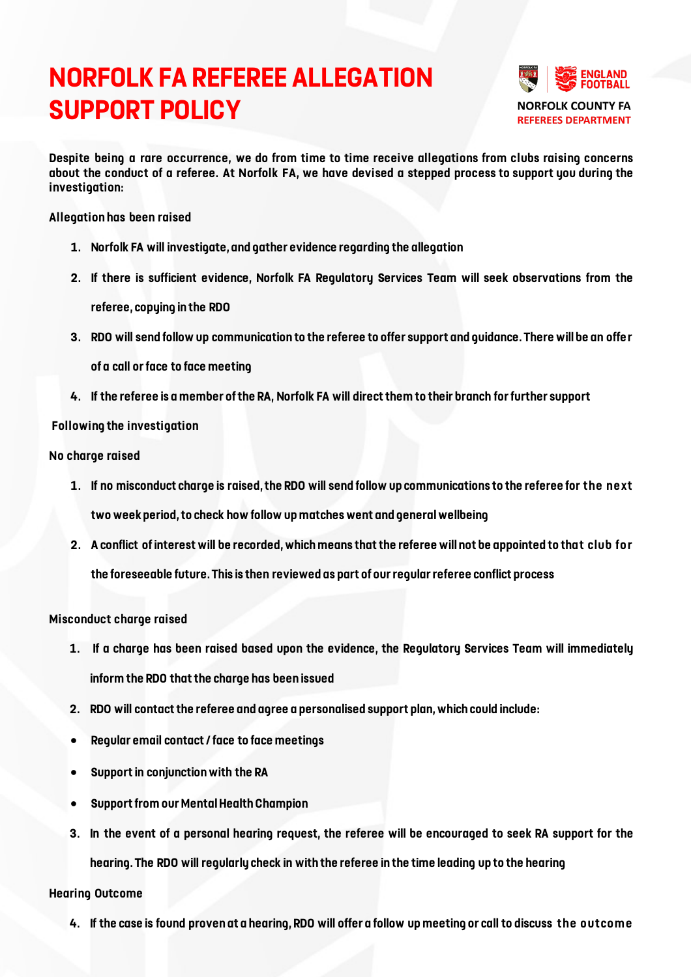# **NORFOLK FA REFEREE ALLEGATION SUPPORT POLICY**



**Despite being a rare occurrence, we do from time to time receive allegations from clubs raising concerns about the conduct of a referee. At Norfolk FA, we have devised a stepped process to support you during the investigation:**

### **Allegation has been raised**

- **1. Norfolk FA will investigate, and gather evidence regarding the allegation**
- **2. If there is sufficient evidence, Norfolk FA Regulatory Services Team will seek observations from the**

**referee, copying in the RDO**

**3. RDO will send follow up communication to the referee to offer support and guidance. There will be an offe r** 

**of a call or face to face meeting**

**4. If the referee is a member of the RA, Norfolk FA will direct them to their branch for further support**

## **Following the investigation**

#### **No charge raised**

- **1. If no misconduct charge is raised, the RDO will send follow up communications to the referee for the ne xt two week period, to check how follow up matches went and general wellbeing**
- **2. A conflict of interest will be recorded, which means that the referee will not be appointed to that club fo r the foreseeable future. This is then reviewed as part of our regular referee conflict process**

## **Misconduct charge raised**

- **1. If a charge has been raised based upon the evidence, the Regulatory Services Team will immediately inform the RDO that the charge has been issued**
- **2. RDO will contact the referee and agree a personalised support plan, which could include:**
- **Regular email contact / face to face meetings**
- **Support in conjunction with the RA**
- **Support from our Mental Health Champion**
- **3. In the event of a personal hearing request, the referee will be encouraged to seek RA support for the hearing. The RDO will regularly check in with the referee in the time leading up to the hearing**

#### **Hearing Outcome**

**4. If the case is found proven at a hearing, RDO will offer a follow up meeting or call to discuss the outcome**